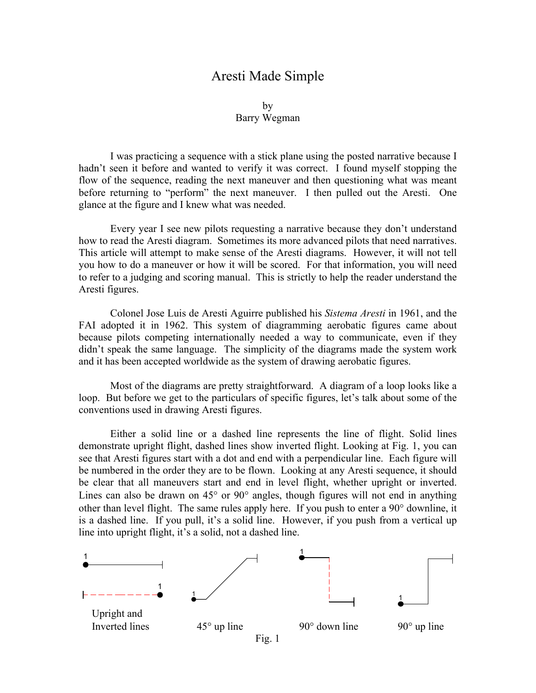## Aresti Made Simple

## by Barry Wegman

I was practicing a sequence with a stick plane using the posted narrative because I hadn't seen it before and wanted to verify it was correct. I found myself stopping the flow of the sequence, reading the next maneuver and then questioning what was meant before returning to "perform" the next maneuver. I then pulled out the Aresti. One glance at the figure and I knew what was needed.

Every year I see new pilots requesting a narrative because they don't understand how to read the Aresti diagram. Sometimes its more advanced pilots that need narratives. This article will attempt to make sense of the Aresti diagrams. However, it will not tell you how to do a maneuver or how it will be scored. For that information, you will need to refer to a judging and scoring manual. This is strictly to help the reader understand the Aresti figures.

Colonel Jose Luis de Aresti Aguirre published his *Sistema Aresti* in 1961, and the FAI adopted it in 1962. This system of diagramming aerobatic figures came about because pilots competing internationally needed a way to communicate, even if they didn't speak the same language. The simplicity of the diagrams made the system work and it has been accepted worldwide as the system of drawing aerobatic figures.

Most of the diagrams are pretty straightforward. A diagram of a loop looks like a loop. But before we get to the particulars of specific figures, let's talk about some of the conventions used in drawing Aresti figures.

Either a solid line or a dashed line represents the line of flight. Solid lines demonstrate upright flight, dashed lines show inverted flight. Looking at Fig. 1, you can see that Aresti figures start with a dot and end with a perpendicular line. Each figure will be numbered in the order they are to be flown. Looking at any Aresti sequence, it should be clear that all maneuvers start and end in level flight, whether upright or inverted. Lines can also be drawn on  $45^{\circ}$  or  $90^{\circ}$  angles, though figures will not end in anything other than level flight. The same rules apply here. If you push to enter a 90° downline, it is a dashed line. If you pull, it's a solid line. However, if you push from a vertical up line into upright flight, it's a solid, not a dashed line.

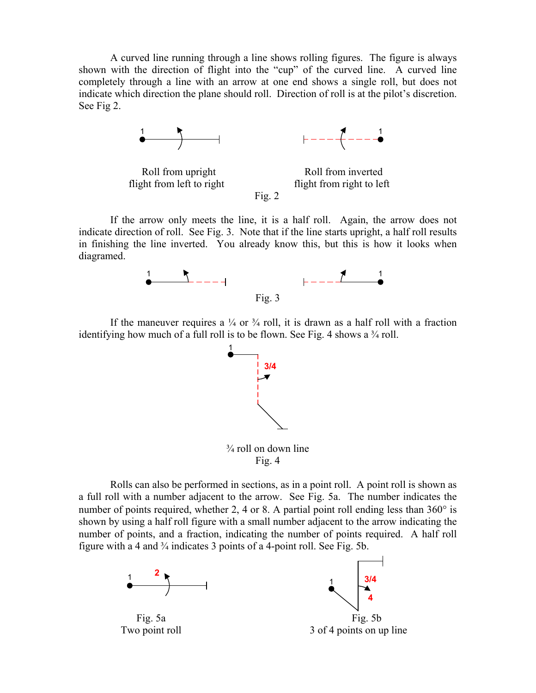A curved line running through a line shows rolling figures. The figure is always shown with the direction of flight into the "cup" of the curved line. A curved line completely through a line with an arrow at one end shows a single roll, but does not indicate which direction the plane should roll. Direction of roll is at the pilot's discretion. See Fig 2.









If the arrow only meets the line, it is a half roll. Again, the arrow does not indicate direction of roll. See Fig. 3. Note that if the line starts upright, a half roll results in finishing the line inverted. You already know this, but this is how it looks when diagramed.



Fig.  $3$ 

If the maneuver requires a  $\frac{1}{4}$  or  $\frac{3}{4}$  roll, it is drawn as a half roll with a fraction identifying how much of a full roll is to be flown. See Fig. 4 shows a  $\frac{3}{4}$  roll.



Rolls can also be performed in sections, as in a point roll. A point roll is shown as a full roll with a number adjacent to the arrow. See Fig. 5a. The number indicates the number of points required, whether 2, 4 or 8. A partial point roll ending less than 360° is shown by using a half roll figure with a small number adjacent to the arrow indicating the number of points, and a fraction, indicating the number of points required. A half roll figure with a 4 and  $\frac{3}{4}$  indicates 3 points of a 4-point roll. See Fig. 5b.

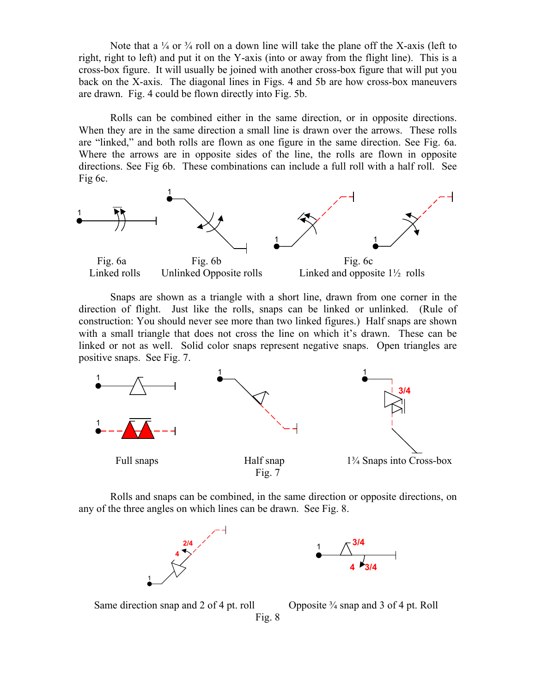Note that a  $\frac{1}{4}$  or  $\frac{3}{4}$  roll on a down line will take the plane off the X-axis (left to right, right to left) and put it on the Y-axis (into or away from the flight line). This is a cross-box figure. It will usually be joined with another cross-box figure that will put you back on the X-axis. The diagonal lines in Figs. 4 and 5b are how cross-box maneuvers are drawn. Fig. 4 could be flown directly into Fig. 5b.

Rolls can be combined either in the same direction, or in opposite directions. When they are in the same direction a small line is drawn over the arrows. These rolls are "linked," and both rolls are flown as one figure in the same direction. See Fig. 6a. Where the arrows are in opposite sides of the line, the rolls are flown in opposite directions. See Fig 6b. These combinations can include a full roll with a half roll. See Fig 6c.



Snaps are shown as a triangle with a short line, drawn from one corner in the direction of flight. Just like the rolls, snaps can be linked or unlinked. (Rule of construction: You should never see more than two linked figures.) Half snaps are shown with a small triangle that does not cross the line on which it's drawn. These can be linked or not as well. Solid color snaps represent negative snaps. Open triangles are positive snaps. See Fig. 7.



Rolls and snaps can be combined, in the same direction or opposite directions, on any of the three angles on which lines can be drawn. See Fig. 8.



Same direction snap and 2 of 4 pt. roll Opposite <sup>3</sup>/<sub>4</sub> snap and 3 of 4 pt. Roll Fig. 8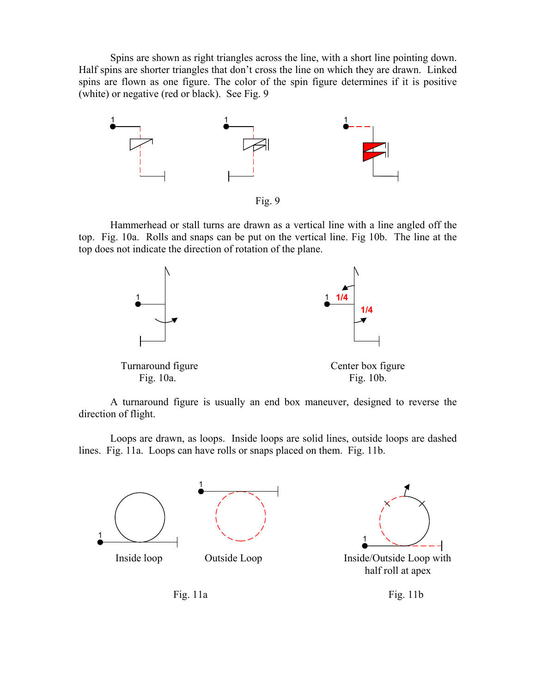Spins are shown as right triangles across the line, with a short line pointing down. Half spins are shorter triangles that don't cross the line on which they are drawn. Linked spins are flown as one figure. The color of the spin figure determines if it is positive (white) or negative (red or black). See Fig. 9



Fig. 9

Hammerhead or stall turns are drawn as a vertical line with a line angled off the top. Fig. 10a. Rolls and snaps can be put on the vertical line. Fig 10b. The line at the top does not indicate the direction of rotation of the plane.



A turnaround figure is usually an end box maneuver, designed to reverse the direction of flight.

Loops are drawn, as loops. Inside loops are solid lines, outside loops are dashed lines. Fig. 11a. Loops can have rolls or snaps placed on them. Fig. 11b.





half roll at apex

Fig. 11a Fig. 11b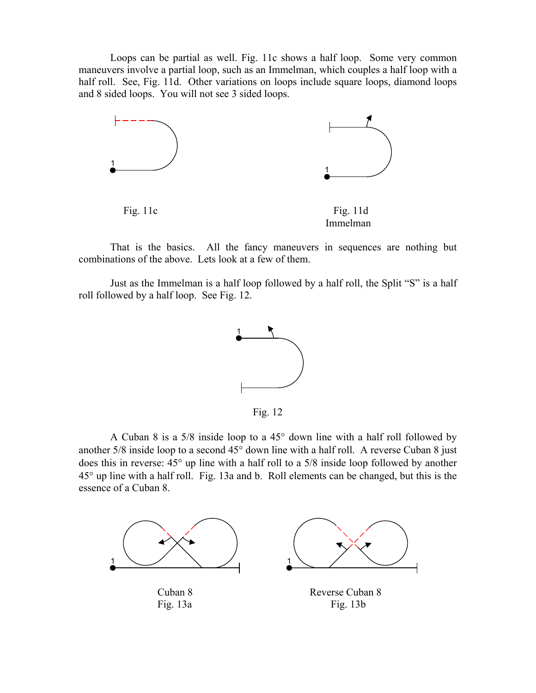Loops can be partial as well. Fig. 11c shows a half loop. Some very common maneuvers involve a partial loop, such as an Immelman, which couples a half loop with a half roll. See, Fig. 11d. Other variations on loops include square loops, diamond loops and 8 sided loops. You will not see 3 sided loops.



That is the basics. All the fancy maneuvers in sequences are nothing but combinations of the above. Lets look at a few of them.

Just as the Immelman is a half loop followed by a half roll, the Split "S" is a half roll followed by a half loop. See Fig. 12.



Fig. 12

A Cuban 8 is a 5/8 inside loop to a 45° down line with a half roll followed by another 5/8 inside loop to a second 45° down line with a half roll. A reverse Cuban 8 just does this in reverse: 45° up line with a half roll to a 5/8 inside loop followed by another 45° up line with a half roll. Fig. 13a and b. Roll elements can be changed, but this is the essence of a Cuban 8.

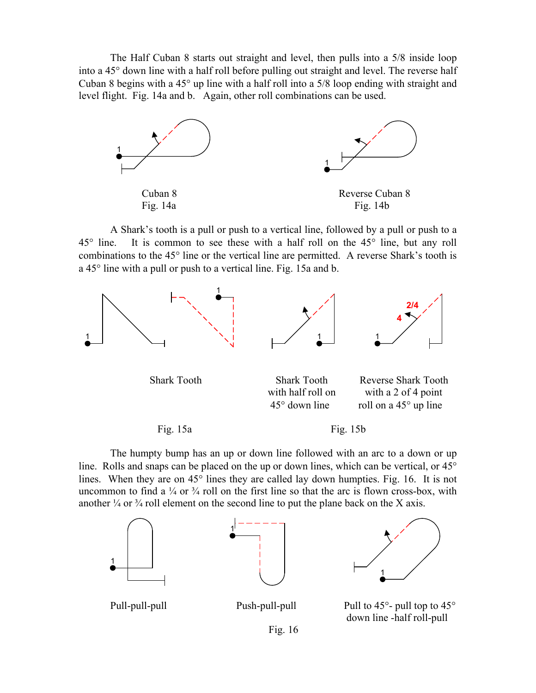The Half Cuban 8 starts out straight and level, then pulls into a 5/8 inside loop into a 45° down line with a half roll before pulling out straight and level. The reverse half Cuban 8 begins with a 45° up line with a half roll into a 5/8 loop ending with straight and level flight. Fig. 14a and b. Again, other roll combinations can be used.



A Shark's tooth is a pull or push to a vertical line, followed by a pull or push to a 45° line. It is common to see these with a half roll on the 45° line, but any roll combinations to the 45° line or the vertical line are permitted. A reverse Shark's tooth is a 45° line with a pull or push to a vertical line. Fig. 15a and b.



 Shark Tooth Shark Tooth Reverse Shark Tooth with half roll on with a 2 of 4 point 45° down line roll on a 45° up line

Fig. 15a Fig. 15b

The humpty bump has an up or down line followed with an arc to a down or up line. Rolls and snaps can be placed on the up or down lines, which can be vertical, or 45° lines. When they are on 45° lines they are called lay down humpties. Fig. 16. It is not uncommon to find a  $\frac{1}{4}$  or  $\frac{3}{4}$  roll on the first line so that the arc is flown cross-box, with another  $\frac{1}{4}$  or  $\frac{3}{4}$  roll element on the second line to put the plane back on the X axis.





1

Pull-pull-pull Push-pull-pull Pull to 45°- pull top to 45° down line -half roll-pull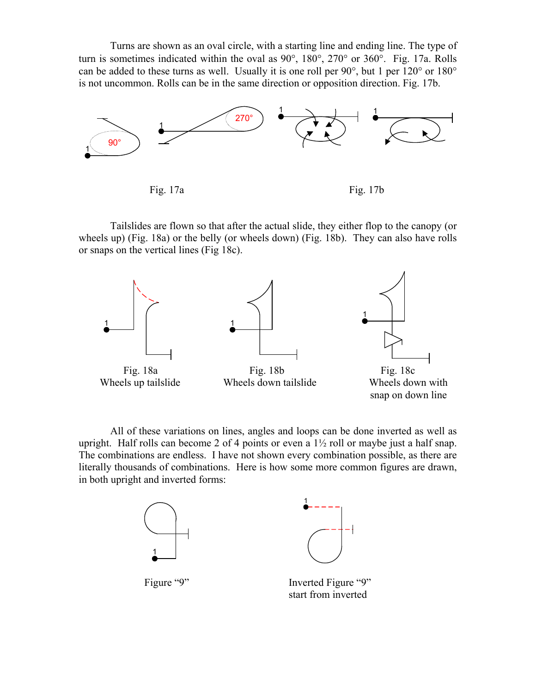Turns are shown as an oval circle, with a starting line and ending line. The type of turn is sometimes indicated within the oval as 90°, 180°, 270° or 360°. Fig. 17a. Rolls can be added to these turns as well. Usually it is one roll per 90°, but 1 per 120° or 180° is not uncommon. Rolls can be in the same direction or opposition direction. Fig. 17b.



Fig. 17a Fig. 17b

Tailslides are flown so that after the actual slide, they either flop to the canopy (or wheels up) (Fig. 18a) or the belly (or wheels down) (Fig. 18b). They can also have rolls or snaps on the vertical lines (Fig 18c).



All of these variations on lines, angles and loops can be done inverted as well as upright. Half rolls can become 2 of 4 points or even a  $1\frac{1}{2}$  roll or maybe just a half snap. The combinations are endless. I have not shown every combination possible, as there are literally thousands of combinations. Here is how some more common figures are drawn, in both upright and inverted forms:

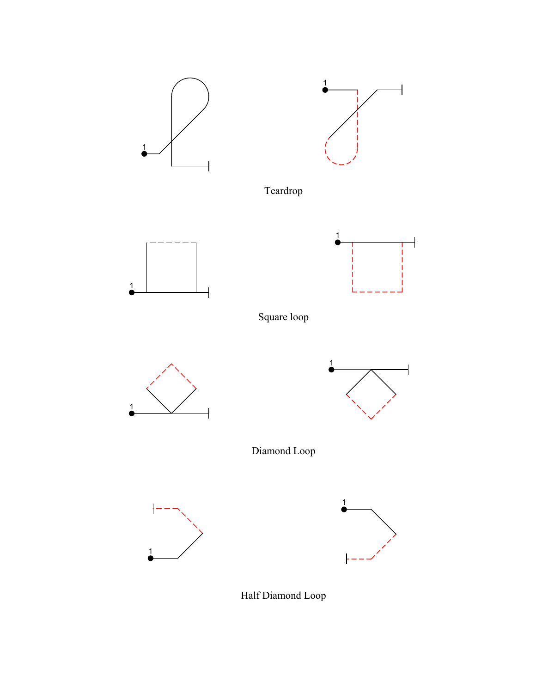

Half Diamond Loop